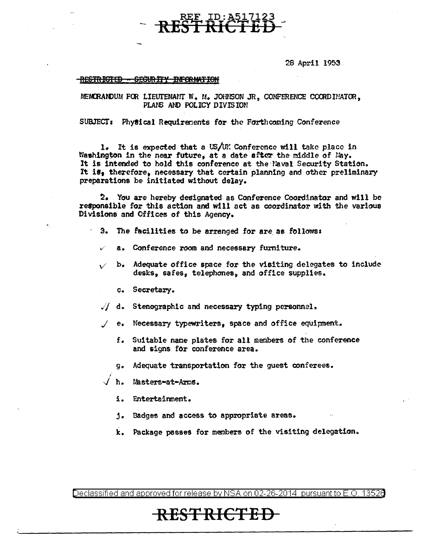28 April 1953

#### RESTRICTED - SECURITY INFORMATION

MEMORANDUM FOR LIEUTENANT W. M. JOHNSON JR, CONFERENCE COORDINATOR, PLANS AND POLICY DIVISION

~ ID:A517123

**RESt RICTED** <sup>~</sup>

SUBJECT: Physical Requirements for the Forthcoming Conference

1. It is expected that a US/UK Conference will take place in Washington in the near future, at a date after the middle of May. It is intended to hold this conference at the Naval Security Station. It is, therefore, necessary that certain planning and other preliminary preparations be initiated without delay.

~. You *are* hereby designated as Conference Coordinator and will be responsible for this action and Will act as coordinator with the various Divisions and Offices of this Agency.

- 3. The facilities to be arranged for are as follows:
	- a. Conference room and necessary furniture.
- b. Adequate office space for the visiting delegates to include desks, safes, telephones, and office supplies.
	- <sup>~</sup>. Secretary.

•.

- $\sqrt{1}$  d. Stenographic and necessary typing personnel.
- .I *e.* Necessary typewriters, space and office equipment ..
	- f. Suitable name plates for all members of the conference and signs for conference area.
	- g. Adequate transportation for the guest conferees.
- / h. Masters-at-Arms.
	- i. Entertsimnent.
	- j. Badges and access to appropriate area\$.
	- k. Package passes for members of the visiting delegation.

Declassified and approved for release by NSA on 02-26-2014 pursuantto E.O. 1352a

## **RESTRICTED**